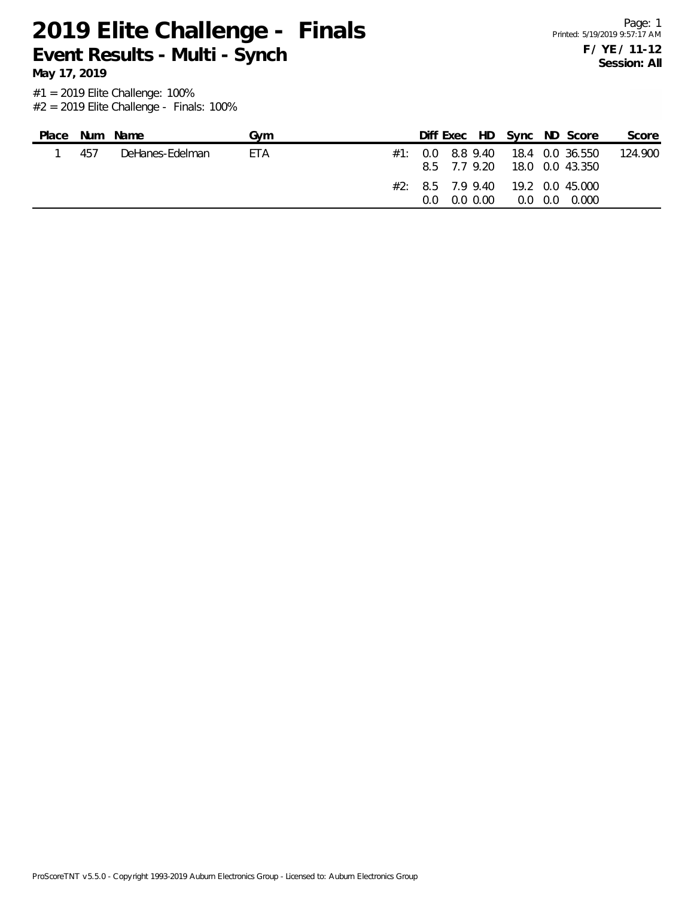**May 17, 2019**

| Place | Num | Name            | Gvm |     |              | Diff Exec HD Sync ND Score                                       | Score   |
|-------|-----|-----------------|-----|-----|--------------|------------------------------------------------------------------|---------|
|       | 457 | DeHanes-Edelman | ETA |     | 8.5 7.7 9.20 | $\#1$ : 0.0 8.8 9.40 18.4 0.0 36.550<br>18.0   0.0   43.350      | 124.900 |
|       |     |                 |     | 0.0 | $0.0\,0.00$  | $\#2$ : 8.5 7.9 9.40 19.2 0.0 45.000<br>0.000<br>$0.0 \quad 0.0$ |         |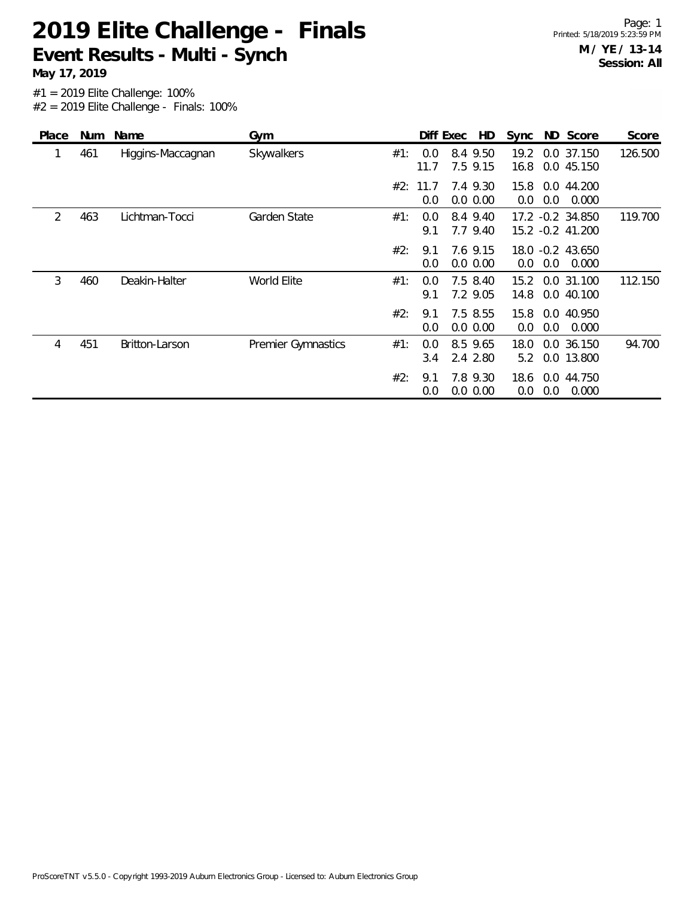**May 17, 2019**

| Place | Num | Name              | Gym                       |     |             | HD<br>Diff Exec      | Sync         |     | ND Score                             | Score   |
|-------|-----|-------------------|---------------------------|-----|-------------|----------------------|--------------|-----|--------------------------------------|---------|
| 1     | 461 | Higgins-Maccagnan | Skywalkers                | #1: | 0.0<br>11.7 | 8.4 9.50<br>7.5 9.15 | 19.2<br>16.8 |     | 0.0 37.150<br>0.0 45.150             | 126.500 |
|       |     |                   |                           | #2: | 11.7<br>0.0 | 7.4 9.30<br>0.0 0.00 | 15.8<br>0.0  | 0.0 | 0.0 44.200<br>0.000                  |         |
| 2     | 463 | Lichtman-Tocci    | Garden State              | #1: | 0.0<br>9.1  | 8.4 9.40<br>7.7 9.40 |              |     | 17.2 -0.2 34.850<br>15.2 -0.2 41.200 | 119.700 |
|       |     |                   |                           | #2: | 9.1<br>0.0  | 7.6 9.15<br>0.0 0.00 | 0.0          | 0.0 | 18.0 -0.2 43.650<br>0.000            |         |
| 3     | 460 | Deakin-Halter     | World Elite               | #1: | 0.0<br>9.1  | 7.5 8.40<br>7.2 9.05 | 15.2<br>14.8 |     | 0.0 31.100<br>0.0 40.100             | 112.150 |
|       |     |                   |                           | #2: | 9.1<br>0.0  | 7.5 8.55<br>0.0 0.00 | 15.8<br>0.0  | 0.0 | 0.0 40.950<br>0.000                  |         |
| 4     | 451 | Britton-Larson    | <b>Premier Gymnastics</b> | #1: | 0.0<br>3.4  | 8.5 9.65<br>2.4 2.80 | 18.0<br>5.2  |     | 0.0 36.150<br>0.0 13.800             | 94.700  |
|       |     |                   |                           | #2: | 9.1<br>0.0  | 7.8 9.30<br>0.0 0.00 | 18.6<br>0.0  | 0.0 | 0.0 44.750<br>0.000                  |         |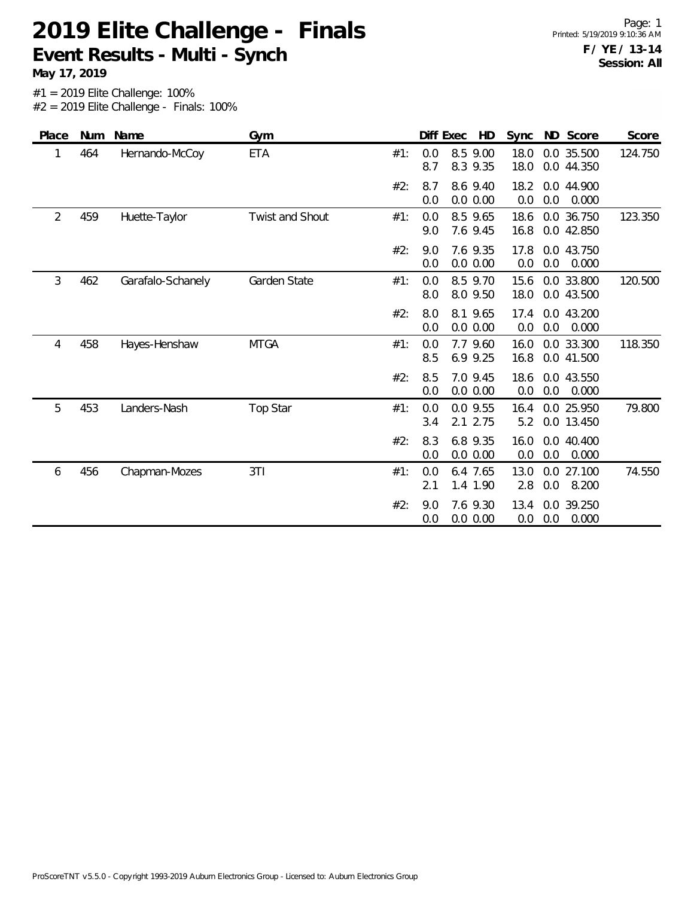**May 17, 2019**

| Place          | Num | Name              | Gym             |     |            | HD<br>Diff Exec        | Sync         | ND Score                     | Score   |
|----------------|-----|-------------------|-----------------|-----|------------|------------------------|--------------|------------------------------|---------|
|                | 464 | Hernando-McCoy    | <b>ETA</b>      | #1: | 0.0<br>8.7 | 8.5 9.00<br>8.3 9.35   | 18.0<br>18.0 | 0.0 35.500<br>0.0 44.350     | 124.750 |
|                |     |                   |                 | #2: | 8.7<br>0.0 | 8.6 9.40<br>0.0 0.00   | 18.2<br>0.0  | 0.0 44.900<br>0.0<br>0.000   |         |
| $\overline{2}$ | 459 | Huette-Taylor     | Twist and Shout | #1: | 0.0<br>9.0 | 8.5 9.65<br>7.6 9.45   | 18.6<br>16.8 | 0.0 36.750<br>0.0 42.850     | 123.350 |
|                |     |                   |                 | #2: | 9.0<br>0.0 | 7.6 9.35<br>0.0 0.00   | 17.8<br>0.0  | 0.0 43.750<br>0.0<br>0.000   |         |
| 3              | 462 | Garafalo-Schanely | Garden State    | #1: | 0.0<br>8.0 | 8.5 9.70<br>8.0 9.50   | 15.6<br>18.0 | 0.0 33.800<br>0.0 43.500     | 120.500 |
|                |     |                   |                 | #2: | 8.0<br>0.0 | 8.1 9.65<br>0.0 0.00   | 17.4<br>0.0  | 0.0 43.200<br>0.0<br>0.000   |         |
| 4              | 458 | Hayes-Henshaw     | <b>MTGA</b>     | #1: | 0.0<br>8.5 | 7.7 9.60<br>6.9 9.25   | 16.0<br>16.8 | 0.0 33.300<br>0.0 41.500     | 118.350 |
|                |     |                   |                 | #2: | 8.5<br>0.0 | 7.0 9.45<br>0.0 0.00   | 18.6<br>0.0  | 0.0 43.550<br>0.0<br>0.000   |         |
| 5              | 453 | Landers-Nash      | Top Star        | #1: | 0.0<br>3.4 | $0.0$ 9.55<br>2.1 2.75 | 16.4<br>5.2  | 0.0 25.950<br>0.0 13.450     | 79.800  |
|                |     |                   |                 | #2: | 8.3<br>0.0 | 6.8 9.35<br>0.0 0.00   | 16.0<br>0.0  | $0.0$ 40.400<br>0.0<br>0.000 |         |
| 6              | 456 | Chapman-Mozes     | 3T1             | #1: | 0.0<br>2.1 | 6.4 7.65<br>1.4 1.90   | 13.0<br>2.8  | 0.0 27.100<br>0.0<br>8.200   | 74.550  |
|                |     |                   |                 | #2: | 9.0<br>0.0 | 7.6 9.30<br>0.0 0.00   | 13.4<br>0.0  | 0.0 39.250<br>0.0<br>0.000   |         |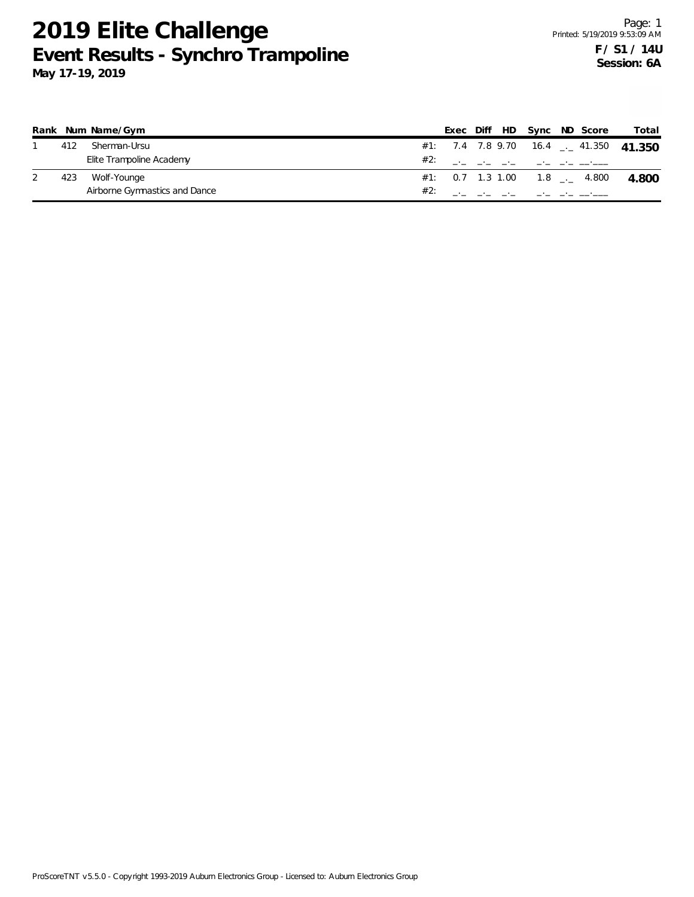# **2019 Elite Challenge Event Results - Synchro Trampoline**

|     | Rank Num Name/Gym             |     |  |  | Exec Diff HD Sync ND Score      | Total                                   |
|-----|-------------------------------|-----|--|--|---------------------------------|-----------------------------------------|
| 412 | Sherman-Ursu                  |     |  |  |                                 | #1: 7.4 7.8 9.70 16.4 $-$ 41.350 41.350 |
|     | Elite Trampoline Academy      | #2: |  |  |                                 |                                         |
| 423 | Wolf-Younge                   |     |  |  | $\#1$ : 0.7 1.3 1.00 1.8  4.800 | -4.800                                  |
|     | Airborne Gymnastics and Dance |     |  |  |                                 |                                         |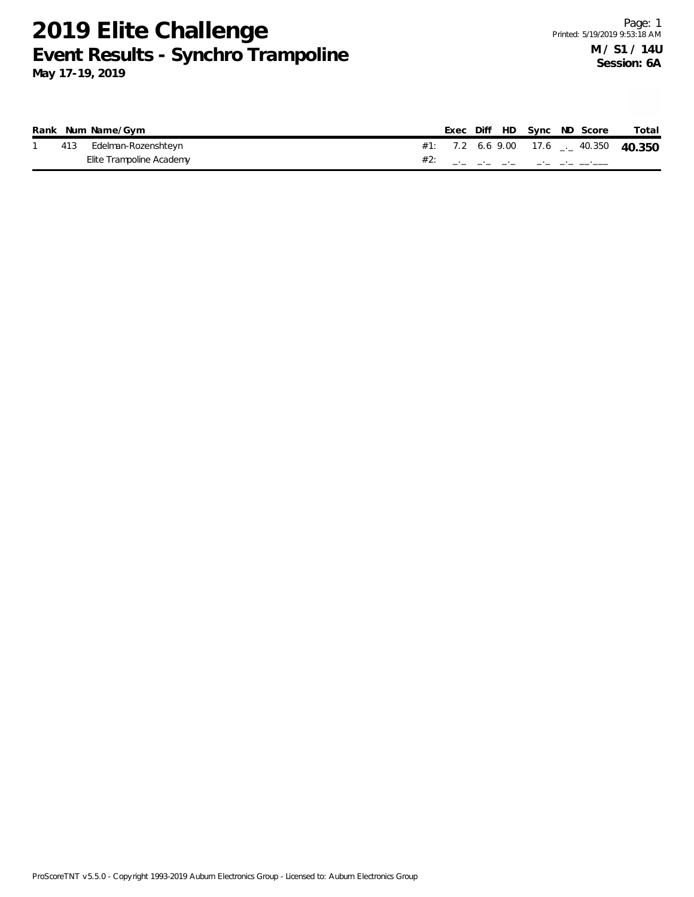## **2019 Elite Challenge Event Results - Synchro Trampoline**

|     | Rank Num Name/Gym        | Exec |  |  | Diff HD Sync ND Score | Total                                   |
|-----|--------------------------|------|--|--|-----------------------|-----------------------------------------|
| 413 | Edelman-Rozenshteyn      |      |  |  |                       | #1: 7.2 6.6 9.00 17.6 $-$ 40.350 40.350 |
|     | Elite Trampoline Academy |      |  |  |                       |                                         |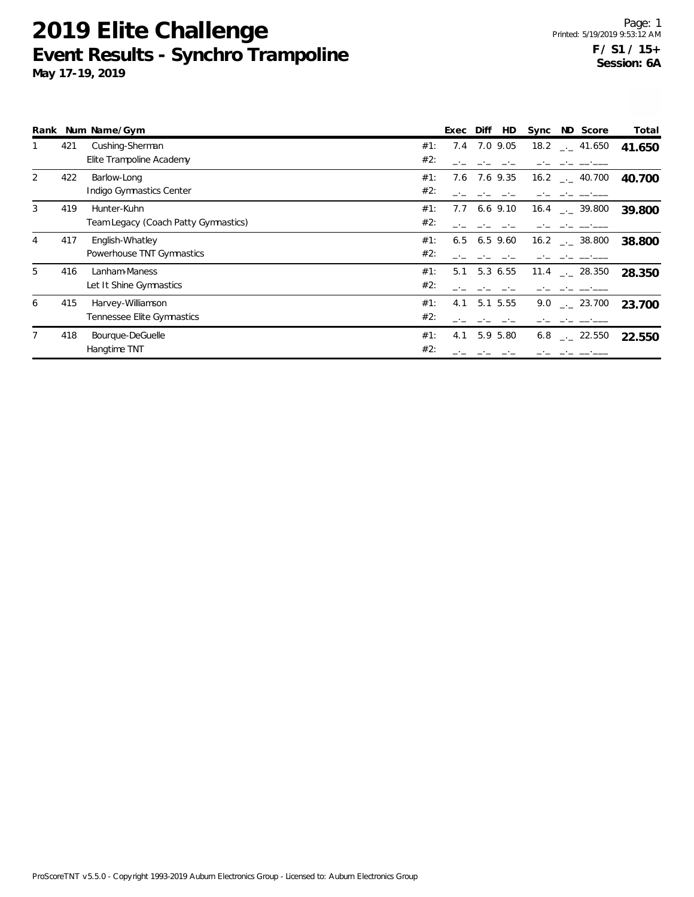## **2019 Elite Challenge Event Results - Synchro Trampoline**

|   |     | Rank Num Name/Gym                    |     | Exec | Diff<br>HD | Sync | ND Score                      | Total  |
|---|-----|--------------------------------------|-----|------|------------|------|-------------------------------|--------|
|   | 421 | Cushing-Sherman                      | #1: | 7.4  | 7.0 9.05   |      | $18.2$ $_{\leftarrow}$ 41.650 | 41.650 |
|   |     | Elite Trampoline Academy             | #2: |      |            |      |                               |        |
| 2 | 422 | Barlow-Long                          | #1: | 7.6  | 7.6 9.35   |      | $16.2$ $_{\leftarrow}$ 40.700 | 40.700 |
|   |     | Indigo Gymnastics Center             | #2: |      |            |      |                               |        |
| 3 | 419 | Hunter-Kuhn                          | #1: | 7.7  | $6.6$ 9.10 |      | $16.4$ $-2$ 39.800            | 39.800 |
|   |     | Team Legacy (Coach Patty Gymnastics) | #2: |      |            |      |                               |        |
| 4 | 417 | English-Whatley                      | #1: | 6.5  | $6.5$ 9.60 |      | $16.2$ $_{\dots}$ 38.800      | 38.800 |
|   |     | Powerhouse TNT Gymnastics            | #2: |      |            |      |                               |        |
| 5 | 416 | Lanham-Maness                        | #1: | 5.1  | 5.3 6.55   |      | $11.4$ $_{\sim}$ 28.350       | 28.350 |
|   |     | Let It Shine Gymnastics              | #2: |      |            |      |                               |        |
| 6 | 415 | Harvey-Williamson                    | #1: | 4.1  | 5.1 5.55   |      | $9.0$ __ 23.700               | 23.700 |
|   |     | Tennessee Elite Gymnastics           | #2: |      |            |      |                               |        |
|   | 418 | Bourque-DeGuelle                     | #1: | 4.1  | 5.9 5.80   | 6.8  | $\sim$ 22.550                 | 22.550 |
|   |     | Hangtime TNT                         | #2: |      |            |      |                               |        |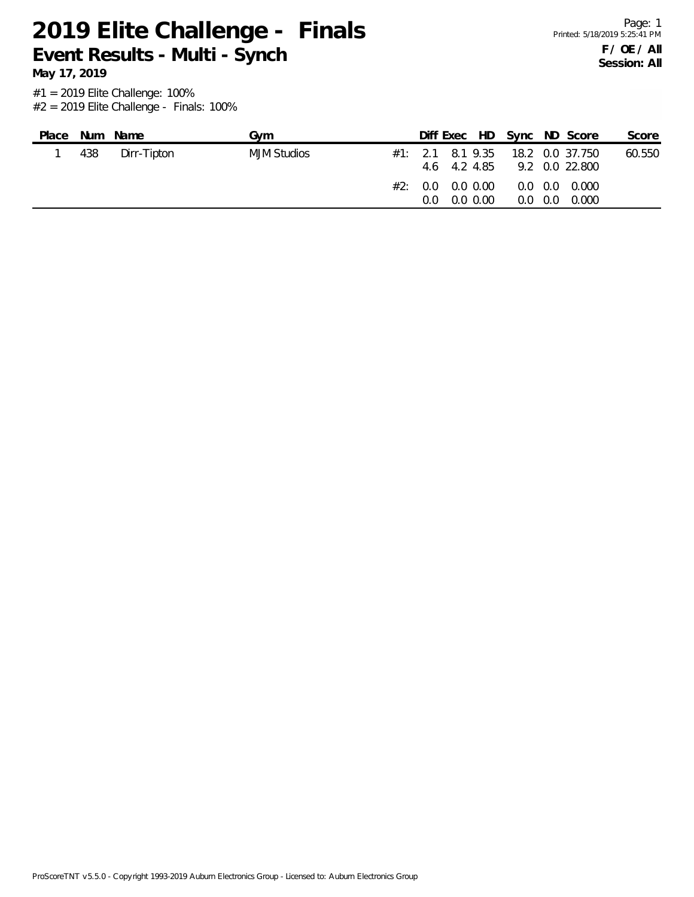**May 17, 2019**

| Place | Num | Name        | Gvm         |  | Diff Exec HD Sync ND Score                                          |                 |                                      | Score  |
|-------|-----|-------------|-------------|--|---------------------------------------------------------------------|-----------------|--------------------------------------|--------|
|       | 438 | Dirr-Tipton | MJM Studios |  | $\#1$ : 2.1 8.1 9.35 18.2 0.0 37.750<br>4.6 4.2 4.85 9.2 0.0 22.800 |                 |                                      | 60.550 |
|       |     |             |             |  | #2: 0.0 0.0 0.00<br>$0.0 \quad 0.0 \quad 0.00$                      | $0.0 \quad 0.0$ | $0.0 \quad 0.0 \quad 0.000$<br>0.000 |        |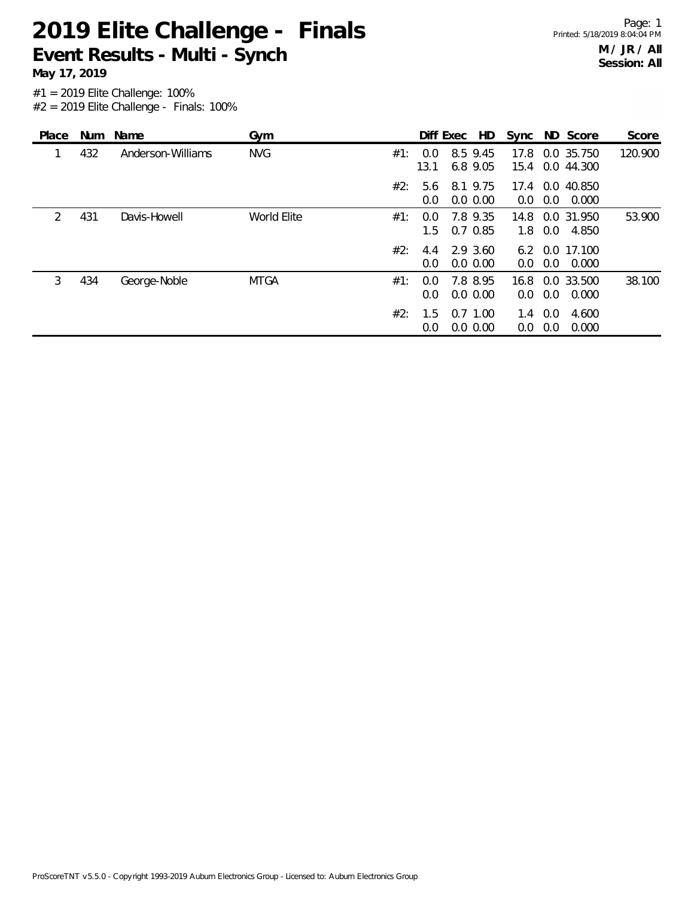**May 17, 2019**

| Place         |     | Num Name          | Gym         |        |             | HD<br>Diff Exec         | Sync                     |            | ND Score                 | Score   |
|---------------|-----|-------------------|-------------|--------|-------------|-------------------------|--------------------------|------------|--------------------------|---------|
| 1             | 432 | Anderson-Williams | <b>NVG</b>  | #1:    | 0.0<br>13.1 | 8.5 9.45<br>6.8 9.05    | 17.8<br>15.4             |            | 0.0 35.750<br>0.0 44.300 | 120.900 |
|               |     |                   |             | $#2$ : | 5.6<br>0.0  | 8.1 9.75<br>0.0 0.00    | 17.4<br>0.0              | 0.0        | 0.0 40.850<br>0.000      |         |
| $\mathcal{P}$ | 431 | Davis-Howell      | World Elite | #1:    | 0.0<br>1.5  | 7.8 9.35<br>$0.7$ 0.85  | 14.8<br>1.8              | 0.0        | 0.0 31.950<br>4.850      | 53.900  |
|               |     |                   |             | #2:    | 4.4<br>0.0  | 2.9 3.60<br>$0.0\,0.00$ | 0.0                      | 0.0        | 6.2 0.0 17.100<br>0.000  |         |
| 3             | 434 | George-Noble      | <b>MTGA</b> | #1:    | 0.0<br>0.0  | 7.8 8.95<br>0.0 0.00    | 16.8<br>0.0 <sub>1</sub> | 0.0        | 0.0 33.500<br>0.000      | 38.100  |
|               |     |                   |             | #2:    | 1.5<br>0.0  | $0.7$ 1.00<br>0.0 0.00  | 1.4<br>0.0               | 0.0<br>0.0 | 4.600<br>0.000           |         |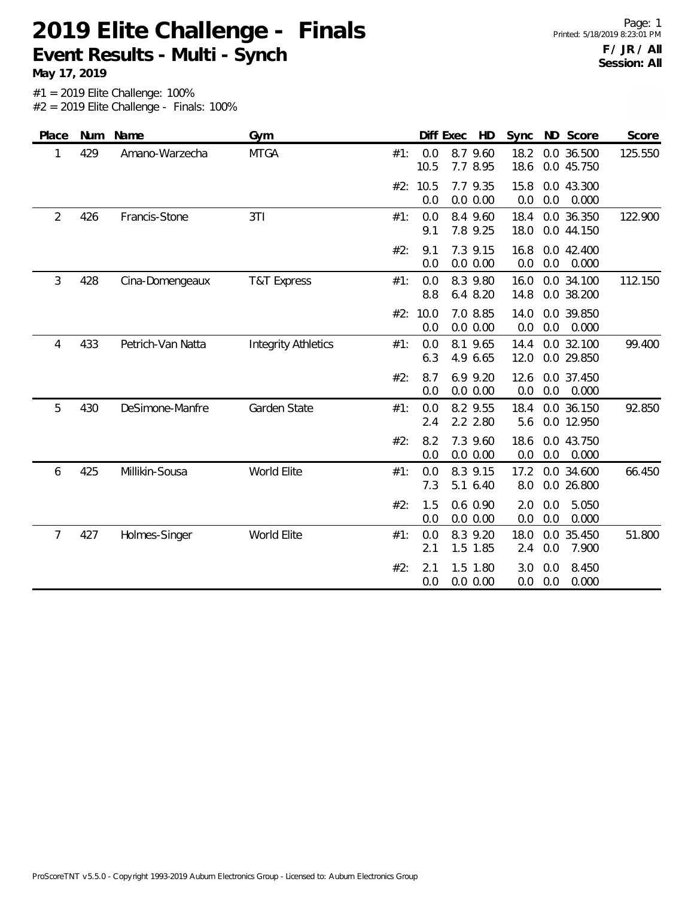**May 17, 2019**

| Place | Num | Name              | Gym                        |     | Diff Exec       | HD                     | Sync         | ND Score                      | Score   |
|-------|-----|-------------------|----------------------------|-----|-----------------|------------------------|--------------|-------------------------------|---------|
| 1     | 429 | Amano-Warzecha    | <b>MTGA</b>                | #1: | 0.0<br>10.5     | 8.7 9.60<br>7.7 8.95   | 18.2<br>18.6 | 0.0 36.500<br>0.0 45.750      | 125.550 |
|       |     |                   |                            |     | #2: 10.5<br>0.0 | 7.7 9.35<br>0.0 0.00   | 15.8<br>0.0  | 0.0 43.300<br>0.0<br>0.000    |         |
| 2     | 426 | Francis-Stone     | 3T1                        | #1: | 0.0<br>9.1      | 8.4 9.60<br>7.8 9.25   | 18.4<br>18.0 | 0.0 36.350<br>0.0 44.150      | 122.900 |
|       |     |                   |                            | #2: | 9.1<br>0.0      | 7.3 9.15<br>0.0 0.00   | 16.8<br>0.0  | 0.0 42.400<br>0.0<br>0.000    |         |
| 3     | 428 | Cina-Domengeaux   | <b>T&amp;T Express</b>     | #1: | 0.0<br>8.8      | 8.3 9.80<br>6.4 8.20   | 16.0<br>14.8 | 0.0 34.100<br>0.0 38.200      | 112.150 |
|       |     |                   |                            |     | #2: 10.0<br>0.0 | 7.0 8.85<br>0.0 0.00   | 14.0<br>0.0  | 0.0 39.850<br>0.0<br>0.000    |         |
| 4     | 433 | Petrich-Van Natta | <b>Integrity Athletics</b> | #1: | 0.0<br>6.3      | 8.1 9.65<br>4.9 6.65   | 14.4<br>12.0 | 0.0 32.100<br>0.0 29.850      | 99.400  |
|       |     |                   |                            | #2: | 8.7<br>0.0      | 6.9 9.20<br>0.0 0.00   | 12.6<br>0.0  | 0.0 37.450<br>0.0<br>0.000    |         |
| 5     | 430 | DeSimone-Manfre   | Garden State               | #1: | 0.0<br>2.4      | 8.2 9.55<br>2.2 2.80   | 18.4<br>5.6  | 0.0 36.150<br>0.0 12.950      | 92.850  |
|       |     |                   |                            | #2: | 8.2<br>0.0      | 7.3 9.60<br>0.0 0.00   | 18.6<br>0.0  | 0.0 43.750<br>0.0<br>0.000    |         |
| 6     | 425 | Millikin-Sousa    | World Elite                | #1: | 0.0<br>7.3      | 8.3 9.15<br>5.1 6.40   | 17.2<br>8.0  | 0.0 34.600<br>0.0 26.800      | 66.450  |
|       |     |                   |                            | #2: | 1.5<br>0.0      | $0.6$ 0.90<br>0.0 0.00 | 2.0<br>0.0   | 0.0<br>5.050<br>0.0<br>0.000  |         |
| 7     | 427 | Holmes-Singer     | World Elite                | #1: | 0.0<br>2.1      | 8.3 9.20<br>1.5 1.85   | 18.0<br>2.4  | 35.450<br>0.0<br>0.0<br>7.900 | 51.800  |
|       |     |                   |                            | #2: | 2.1<br>0.0      | 1.5 1.80<br>0.0 0.00   | 3.0<br>0.0   | 8.450<br>0.0<br>0.0<br>0.000  |         |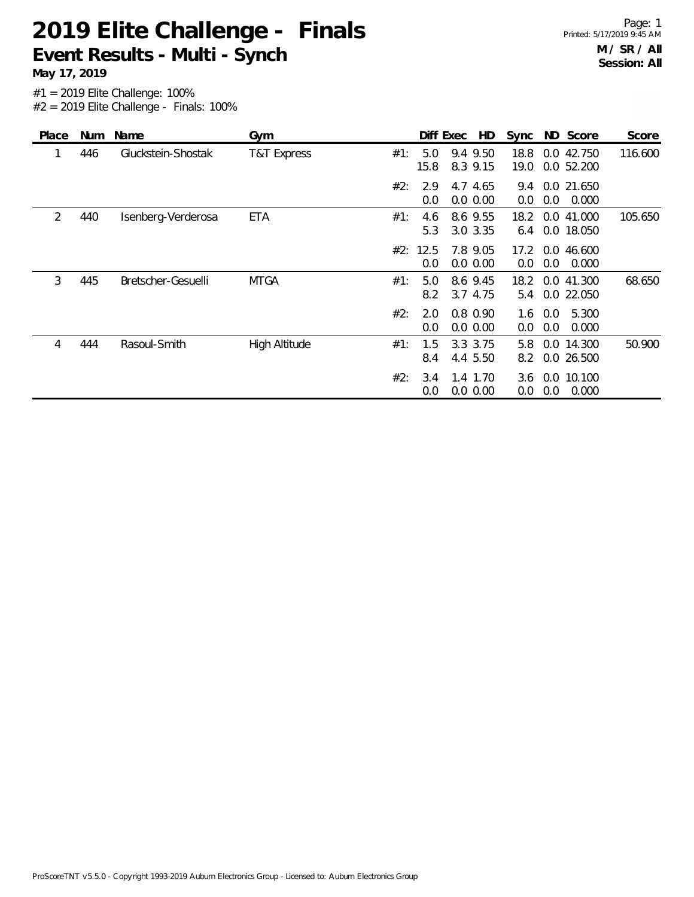**May 17, 2019**

| Place | Num | Name               | Gym                  |     |          | Diff Exec   | HD                      |              |            | Sync ND Score            | Score   |
|-------|-----|--------------------|----------------------|-----|----------|-------------|-------------------------|--------------|------------|--------------------------|---------|
|       | 446 | Gluckstein-Shostak | T&T Express          | #1: |          | 5.0<br>15.8 | 9.4 9.50<br>8.3 9.15    | 18.8<br>19.0 |            | 0.0 42.750<br>0.0 52.200 | 116.600 |
|       |     |                    |                      | #2: |          | 2.9<br>0.0  | 4.7 4.65<br>0.0 0.00    | 9.4<br>0.0   | 0.0        | 0.0 21.650<br>0.000      |         |
| 2     | 440 | Isenberg-Verderosa | <b>ETA</b>           | #1: |          | 4.6<br>5.3  | 8.6 9.55<br>3.0 3.35    | 18.2<br>6.4  |            | 0.0 41.000<br>0.0 18.050 | 105.650 |
|       |     |                    |                      |     | #2: 12.5 | 0.0         | 7.8 9.05<br>0.0 0.00    | 17.2<br>0.0  | 0.0        | 0.0 46.600<br>0.000      |         |
| 3     | 445 | Bretscher-Gesuelli | <b>MTGA</b>          | #1: |          | 5.0<br>8.2  | 8.6 9.45<br>3.7 4.75    | 18.2<br>5.4  |            | 0.0 41.300<br>0.0 22.050 | 68.650  |
|       |     |                    |                      | #2: |          | 2.0<br>0.0  | $0.8\ 0.90$<br>0.0 0.00 | 1.6<br>0.0   | 0.0<br>0.0 | 5.300<br>0.000           |         |
| 4     | 444 | Rasoul-Smith       | <b>High Altitude</b> | #1: |          | 1.5<br>8.4  | 3.3 3.75<br>4.4 5.50    | 5.8<br>8.2   |            | 0.0 14.300<br>0.0 26.500 | 50.900  |
|       |     |                    |                      | #2: |          | 3.4<br>0.0  | 1.4 1.70<br>$0.0\,0.00$ | 3.6<br>0.0   | 0.0        | 0.0 10.100<br>0.000      |         |